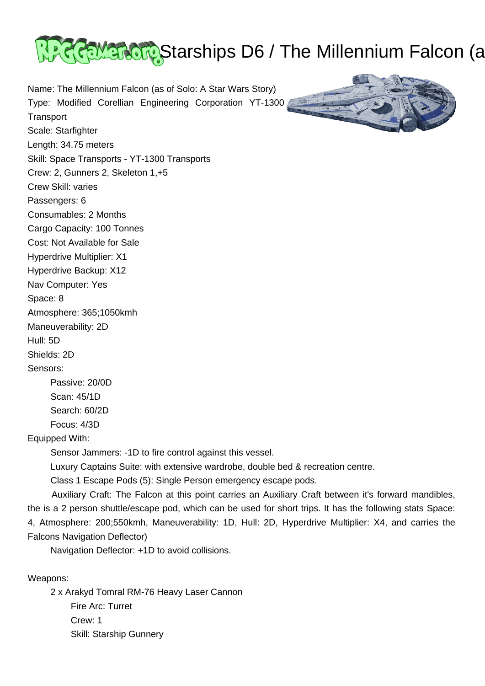

Name: The Millennium Falcon (as of Solo: A Star Wars Story) Type: Modified Corellian Engineering Corporation YT-1300 **Transport** Scale: Starfighter Length: 34.75 meters Skill: Space Transports - YT-1300 Transports Crew: 2, Gunners 2, Skeleton 1,+5 Crew Skill: varies Passengers: 6 Consumables: 2 Months Cargo Capacity: 100 Tonnes Cost: Not Available for Sale Hyperdrive Multiplier: X1 Hyperdrive Backup: X12 Nav Computer: Yes Space: 8 Atmosphere: 365;1050kmh Maneuverability: 2D Hull: 5D Shields: 2D Sensors: Passive: 20/0D Scan: 45/1D Search: 60/2D Focus: 4/3D Equipped With: Sensor Jammers: -1D to fire control against this vessel.

Luxury Captains Suite: with extensive wardrobe, double bed & recreation centre.

Auxiliary Craft: The Falcon at this point carries an Auxiliary Craft between it's forward mandibles,

the is a 2 person shuttle/escape pod, which can be used for short trips. It has the following stats Space: 4, Atmosphere: 200;550kmh, Maneuverability: 1D, Hull: 2D, Hyperdrive Multiplier: X4, and carries the

Class 1 Escape Pods (5): Single Person emergency escape pods.



Weapons:

Falcons Navigation Deflector)

 2 x Arakyd Tomral RM-76 Heavy Laser Cannon Fire Arc: Turret Crew: 1 Skill: Starship Gunnery

Navigation Deflector: +1D to avoid collisions.